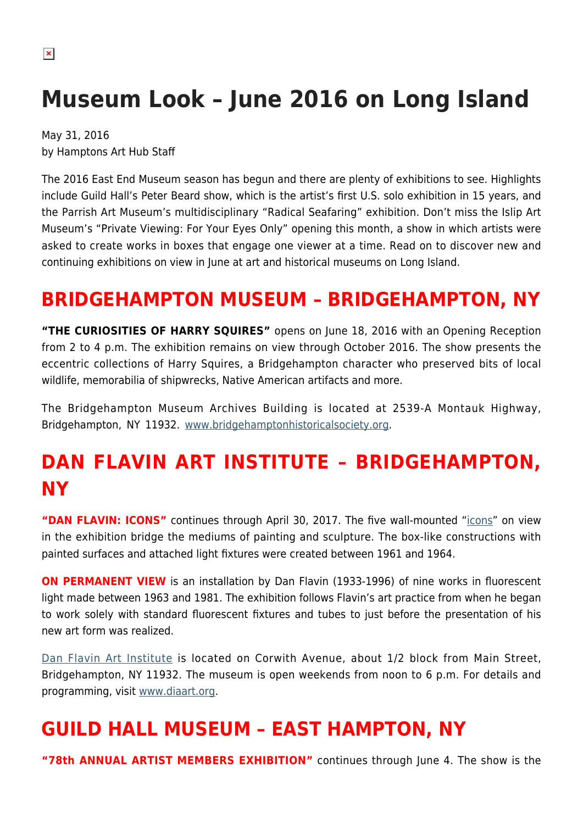# **Museum Look – June 2016 on Long Island**

May 31, 2016 by Hamptons Art Hub Staff

The 2016 East End Museum season has begun and there are plenty of exhibitions to see. Highlights include Guild Hall's Peter Beard show, which is the artist's first U.S. solo exhibition in 15 years, and the Parrish Art Museum's multidisciplinary "Radical Seafaring" exhibition. Don't miss the Islip Art Museum's "Private Viewing: For Your Eyes Only" opening this month, a show in which artists were asked to create works in boxes that engage one viewer at a time. Read on to discover new and continuing exhibitions on view in June at art and historical museums on Long Island.

### **BRIDGEHAMPTON MUSEUM – BRIDGEHAMPTON, NY**

**"THE CURIOSITIES OF HARRY SQUIRES"** opens on June 18, 2016 with an Opening Reception from 2 to 4 p.m. The exhibition remains on view through October 2016. The show presents the eccentric collections of Harry Squires, a Bridgehampton character who preserved bits of local wildlife, memorabilia of shipwrecks, Native American artifacts and more.

The Bridgehampton Museum Archives Building is located at 2539-A Montauk Highway, Bridgehampton, NY 11932. [www.bridgehamptonhistoricalsociety.org](http://www.bridgehamptonhistoricalsociety.org/).

# **DAN FLAVIN ART INSTITUTE – BRIDGEHAMPTON, NY**

**"DAN FLAVIN: ICONS"** continues through April 30, 2017. The five wall-mounted ["icons](https://hamptonsarthub.com/exhibition/dan-flavin-icons/)" on view in the exhibition bridge the mediums of painting and sculpture. The box-like constructions with painted surfaces and attached light fixtures were created between 1961 and 1964.

**ON PERMANENT VIEW** is an installation by Dan Flavin (1933-1996) of nine works in fluorescent light made between 1963 and 1981. The exhibition follows Flavin's art practice from when he began to work solely with standard fluorescent fixtures and tubes to just before the presentation of his new art form was realized.

[Dan Flavin Art Institute](https://hamptonsarthub.com/museum-guide/dan-flavin-art-institute/) is located on Corwith Avenue, about 1/2 block from Main Street, Bridgehampton, NY 11932. The museum is open weekends from noon to 6 p.m. For details and programming, visit [www.diaart.org.](http://www.diaart.org)

#### **GUILD HALL MUSEUM – EAST HAMPTON, NY**

**"78th ANNUAL ARTIST MEMBERS EXHIBITION"** continues through June 4. The show is the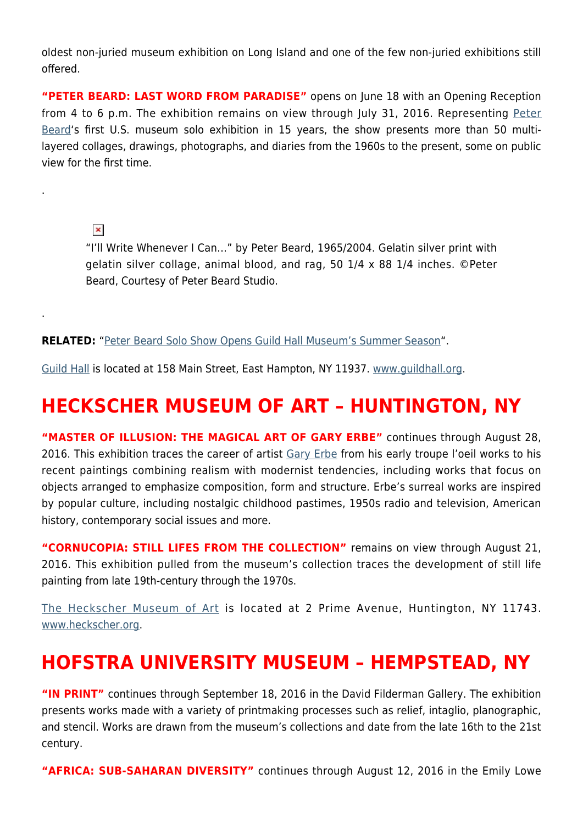oldest non-juried museum exhibition on Long Island and one of the few non-juried exhibitions still offered.

**"PETER BEARD: LAST WORD FROM PARADISE"** opens on June 18 with an Opening Reception from 4 to 6 p.m. The exhibition remains on view through July 31, 2016. Representing [Peter](https://hamptonsarthub.com/exhibition/peter-beard-last-word-from-paradise/) [Beard](https://hamptonsarthub.com/exhibition/peter-beard-last-word-from-paradise/)'s first U.S. museum solo exhibition in 15 years, the show presents more than 50 multilayered collages, drawings, photographs, and diaries from the 1960s to the present, some on public view for the first time.

 $\pmb{\times}$ 

.

.

"I'll Write Whenever I Can…" by Peter Beard, 1965/2004. Gelatin silver print with gelatin silver collage, animal blood, and rag, 50 1/4 x 88 1/4 inches. ©Peter Beard, Courtesy of Peter Beard Studio.

#### **RELATED:** "[Peter Beard Solo Show Opens Guild Hall Museum's Summer Season](https://hamptonsarthub.com/2016/04/08/exhibition-peter-beard-solo-show-opens-guild-hall-museums-summer-season/)".

[Guild Hall](https://hamptonsarthub.com/museum-guide/guild-hall/) is located at 158 Main Street, East Hampton, NY 11937. [www.guildhall.org](http://www.guildhall.org).

#### **HECKSCHER MUSEUM OF ART – HUNTINGTON, NY**

**"MASTER OF ILLUSION: THE MAGICAL ART OF GARY ERBE"** continues through August 28, 2016. This exhibition traces the career of artist [Gary Erbe](http://www.garyerbe.com/) from his early troupe l'oeil works to his recent paintings combining realism with modernist tendencies, including works that focus on objects arranged to emphasize composition, form and structure. Erbe's surreal works are inspired by popular culture, including nostalgic childhood pastimes, 1950s radio and television, American history, contemporary social issues and more.

**"CORNUCOPIA: STILL LIFES FROM THE COLLECTION"** remains on view through August 21, 2016. This exhibition pulled from the museum's collection traces the development of still life painting from late 19th-century through the 1970s.

[The Heckscher Museum of Art](https://hamptonsarthub.com/author/heckscher-museum-of-art/) is located at 2 Prime Avenue, Huntington, NY 11743. [www.heckscher.org](http://www.heckscher.org).

#### **HOFSTRA UNIVERSITY MUSEUM – HEMPSTEAD, NY**

**"IN PRINT"** continues through September 18, 2016 in the David Filderman Gallery. The exhibition presents works made with a variety of printmaking processes such as relief, intaglio, planographic, and stencil. Works are drawn from the museum's collections and date from the late 16th to the 21st century.

**"AFRICA: SUB-SAHARAN DIVERSITY"** continues through August 12, 2016 in the Emily Lowe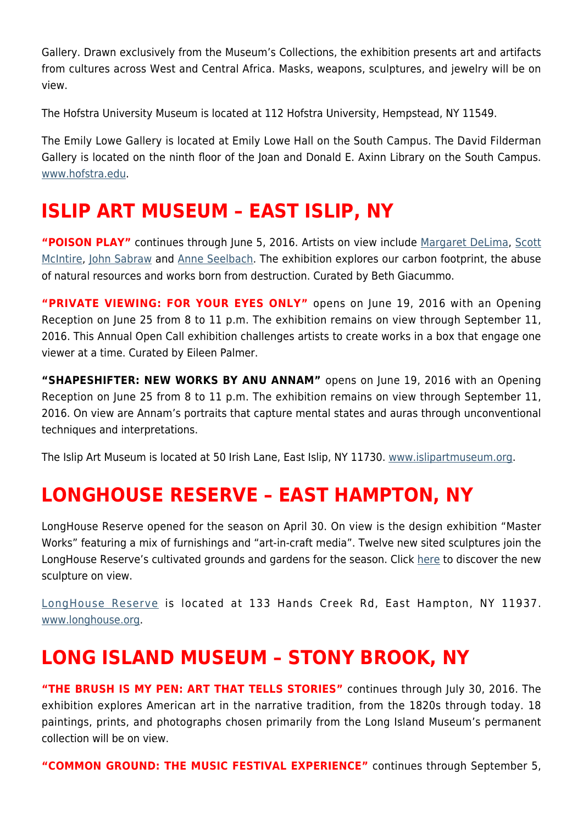Gallery. Drawn exclusively from the Museum's Collections, the exhibition presents art and artifacts from cultures across West and Central Africa. Masks, weapons, sculptures, and jewelry will be on view.

The Hofstra University Museum is located at 112 Hofstra University, Hempstead, NY 11549.

The Emily Lowe Gallery is located at Emily Lowe Hall on the South Campus. The David Filderman Gallery is located on the ninth floor of the Joan and Donald E. Axinn Library on the South Campus. [www.hofstra.edu.](http://www.hofstra.edu)

#### **ISLIP ART MUSEUM – EAST ISLIP, NY**

**"POISON PLAY"** continues through June 5, 2016. Artists on view include [Margaret DeLima](http://margaretdelima.com/home.html), [Scott](https://hamptonsarthub.com/2015/07/21/scott-mcintire-a-close-up-view-of-the-life-around-us/) [McIntire](https://hamptonsarthub.com/2015/07/21/scott-mcintire-a-close-up-view-of-the-life-around-us/), [John Sabraw](http://www.johnsabraw.com/) and [Anne Seelbach.](http://www.anneseelbach.com/) The exhibition explores our carbon footprint, the abuse of natural resources and works born from destruction. Curated by Beth Giacummo.

**"PRIVATE VIEWING: FOR YOUR EYES ONLY"** opens on June 19, 2016 with an Opening Reception on June 25 from 8 to 11 p.m. The exhibition remains on view through September 11, 2016. This Annual Open Call exhibition challenges artists to create works in a box that engage one viewer at a time. Curated by Eileen Palmer.

**"SHAPESHIFTER: NEW WORKS BY ANU ANNAM"** opens on June 19, 2016 with an Opening Reception on June 25 from 8 to 11 p.m. The exhibition remains on view through September 11, 2016. On view are Annam's portraits that capture mental states and auras through unconventional techniques and interpretations.

The Islip Art Museum is located at 50 Irish Lane, East Islip, NY 11730. [www.islipartmuseum.org.](http://www.islipartmuseum.org)

#### **LONGHOUSE RESERVE – EAST HAMPTON, NY**

LongHouse Reserve opened for the season on April 30. On view is the design exhibition "Master Works" featuring a mix of furnishings and "art-in-craft media". Twelve new sited sculptures join the LongHouse Reserve's cultivated grounds and gardens for the season. Click [here](https://hamptonsarthub.com/2016/04/27/exhibitions-new-sculptures-unveiled-for-longhouses-summer-season/) to discover the new sculpture on view.

[LongHouse Reserve](https://hamptonsarthub.com/museum-guide/longhouse-reserve/) is located at 133 Hands Creek Rd, East Hampton, NY 11937. [www.longhouse.org.](http://www.longhouse.org)

#### **LONG ISLAND MUSEUM – STONY BROOK, NY**

**"THE BRUSH IS MY PEN: ART THAT TELLS STORIES"** continues through July 30, 2016. The exhibition explores American art in the narrative tradition, from the 1820s through today. 18 paintings, prints, and photographs chosen primarily from the Long Island Museum's permanent collection will be on view.

**"COMMON GROUND: THE MUSIC FESTIVAL EXPERIENCE"** continues through September 5,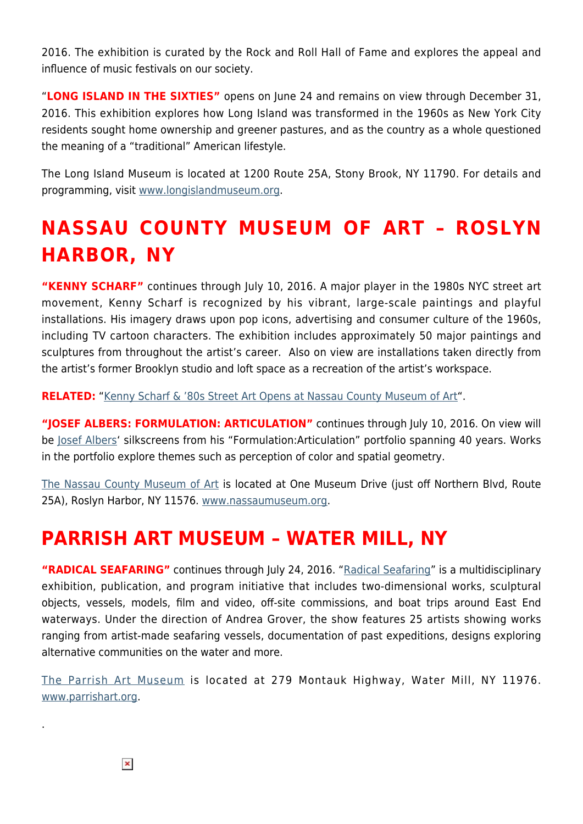2016. The exhibition is curated by the Rock and Roll Hall of Fame and explores the appeal and influence of music festivals on our society.

"**LONG ISLAND IN THE SIXTIES"** opens on June 24 and remains on view through December 31, 2016. This exhibition explores how Long Island was transformed in the 1960s as New York City residents sought home ownership and greener pastures, and as the country as a whole questioned the meaning of a "traditional" American lifestyle.

The Long Island Museum is located at 1200 Route 25A, Stony Brook, NY 11790. For details and programming, visit [www.longislandmuseum.org.](http://www.longislandmuseum.org)

# **NASSAU COUNTY MUSEUM OF ART – ROSLYN HARBOR, NY**

**"KENNY SCHARF"** continues through July 10, 2016. A major player in the 1980s NYC street art movement, Kenny Scharf is recognized by his vibrant, large-scale paintings and playful installations. His imagery draws upon pop icons, advertising and consumer culture of the 1960s, including TV cartoon characters. The exhibition includes approximately 50 major paintings and sculptures from throughout the artist's career. Also on view are installations taken directly from the artist's former Brooklyn studio and loft space as a recreation of the artist's workspace.

**RELATED:** ["Kenny Scharf & '80s Street Art Opens at Nassau County Museum of Art](https://hamptonsarthub.com/2016/03/17/exhibitions-museums-kenny-scharf-80s-street-art-opens-at-nassau-county-museum-of-art/)".

"**JOSEF ALBERS: FORMULATION: ARTICULATION**" continues through July 10, 2016. On view will be [Josef Albers'](http://www.albersfoundation.org/) silkscreens from his "Formulation:Articulation" portfolio spanning 40 years. Works in the portfolio explore themes such as perception of color and spatial geometry.

[The Nassau County Museum of Art](https://hamptonsarthub.com/museum-guide/nassau-county-museum-of-art/) is located at One Museum Drive (just off Northern Blvd, Route 25A), Roslyn Harbor, NY 11576. [www.nassaumuseum.org](http://www.nassaumuseum.org).

#### **PARRISH ART MUSEUM – WATER MILL, NY**

"RADICAL SEAFARING" continues through July 24, 2016. ["Radical Seafaring"](https://hamptonsarthub.com/exhibition/radical-seafaring/) is a multidisciplinary exhibition, publication, and program initiative that includes two-dimensional works, sculptural objects, vessels, models, film and video, off-site commissions, and boat trips around East End waterways. Under the direction of Andrea Grover, the show features 25 artists showing works ranging from artist-made seafaring vessels, documentation of past expeditions, designs exploring alternative communities on the water and more.

[The Parrish Art Museum](https://hamptonsarthub.com/museum-guide/the-parrish-art-museum/) is located at 279 Montauk Highway, Water Mill, NY 11976. [www.parrishart.org](http://www.parrishart.org).

.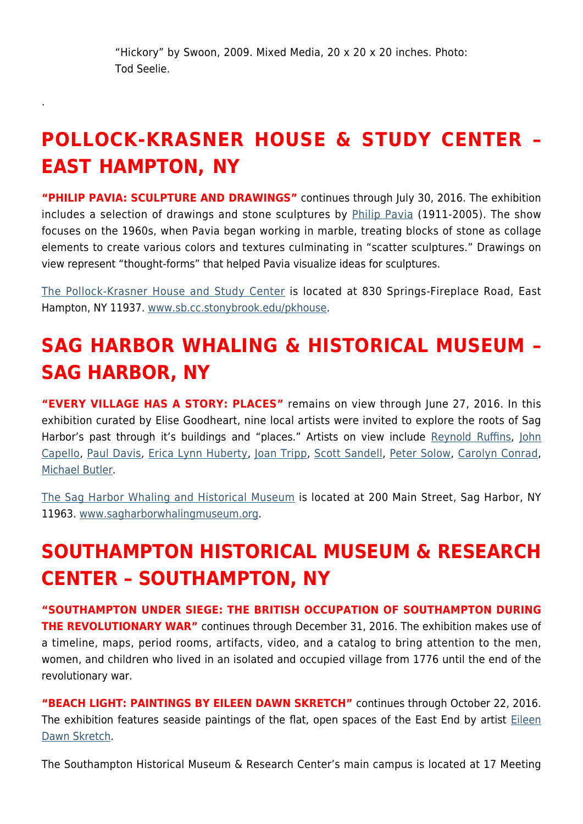.

# **POLLOCK-KRASNER HOUSE & STUDY CENTER – EAST HAMPTON, NY**

**"PHILIP PAVIA: SCULPTURE AND DRAWINGS"** continues through July 30, 2016. The exhibition includes a selection of drawings and stone sculptures by [Philip Pavia](http://philippavia.com/) (1911-2005). The show focuses on the 1960s, when Pavia began working in marble, treating blocks of stone as collage elements to create various colors and textures culminating in "scatter sculptures." Drawings on view represent "thought-forms" that helped Pavia visualize ideas for sculptures.

[The Pollock-Krasner House and Study Center](https://hamptonsarthub.com/museum-guide/pollock-krasner-house-and-study-center/) is located at 830 Springs-Fireplace Road, East Hampton, NY 11937. [www.sb.cc.stonybrook.edu/pkhouse.](http://www.sb.cc.stonybrook.edu/pkhouse)

# **SAG HARBOR WHALING & HISTORICAL MUSEUM – SAG HARBOR, NY**

**"EVERY VILLAGE HAS A STORY: PLACES"** remains on view through June 27, 2016. In this exhibition curated by Elise Goodheart, nine local artists were invited to explore the roots of Sag Harbor's past through it's buildings and "places." Artists on view include [Reynold Ruffins,](http://www.reynoldruffins.com/) [John](http://www.johncappelloart.com/) [Capello,](http://www.johncappelloart.com/) [Paul Davis](http://www.copyrightdavis.com/), [Erica Lynn Huberty,](http://www.ericalynnhuberty.com/) [Joan Tripp,](http://joantripp.com/) [Scott Sandell,](http://www.askart.com/artist/Scott_Sandell/129464/Scott_Sandell.aspx) [Peter Solow](http://easthamptonstar.com/Archive/2013917/Peter-Solow-Knowing-When-Stop), [Carolyn Conrad,](http://carolynconradart.com/carolyn_conrad/carolyn_conrad_artist.html) [Michael Butler](http://www.michael-butler.com/).

[The Sag Harbor Whaling and Historical Museum](https://hamptonsarthub.com/museum-guide/sag-harbor-whaling-museum/) is located at 200 Main Street, Sag Harbor, NY 11963. [www.sagharborwhalingmuseum.org](http://www.sagharborwhalingmuseum.org).

# **SOUTHAMPTON HISTORICAL MUSEUM & RESEARCH CENTER – SOUTHAMPTON, NY**

**"SOUTHAMPTON UNDER SIEGE: THE BRITISH OCCUPATION OF SOUTHAMPTON DURING THE REVOLUTIONARY WAR"** continues through December 31, 2016. The exhibition makes use of a timeline, maps, period rooms, artifacts, video, and a catalog to bring attention to the men, women, and children who lived in an isolated and occupied village from 1776 until the end of the revolutionary war.

**"BEACH LIGHT: PAINTINGS BY EILEEN DAWN SKRETCH"** continues through October 22, 2016. The exhibition features seaside paintings of the flat, open spaces of the East End by artist [Eileen](http://www.eileendawnskretch.com/) [Dawn Skretch](http://www.eileendawnskretch.com/).

The Southampton Historical Museum & Research Center's main campus is located at 17 Meeting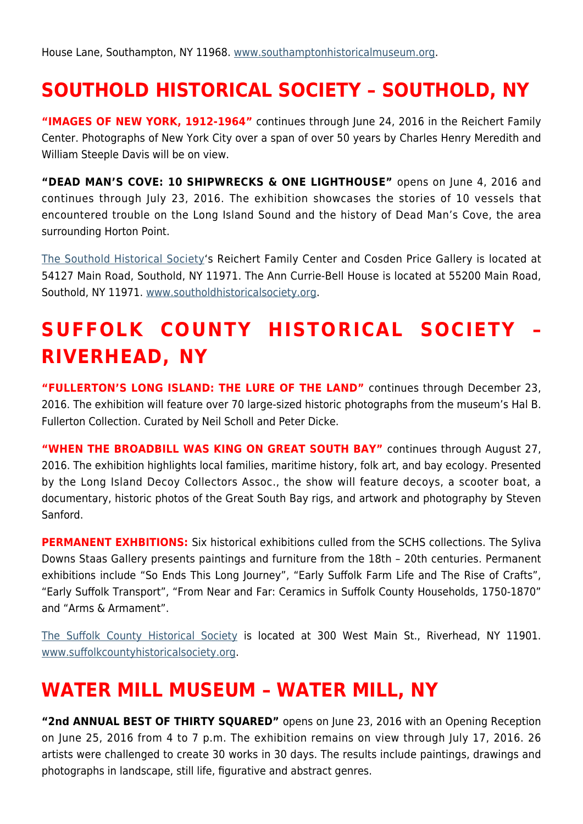## **SOUTHOLD HISTORICAL SOCIETY – SOUTHOLD, NY**

**"IMAGES OF NEW YORK, 1912-1964"** continues through June 24, 2016 in the Reichert Family Center. Photographs of New York City over a span of over 50 years by Charles Henry Meredith and William Steeple Davis will be on view.

**"DEAD MAN'S COVE: 10 SHIPWRECKS & ONE LIGHTHOUSE"** opens on June 4, 2016 and continues through July 23, 2016. The exhibition showcases the stories of 10 vessels that encountered trouble on the Long Island Sound and the history of Dead Man's Cove, the area surrounding Horton Point.

[The Southold Historical Society'](https://hamptonsarthub.com/museum-guide/the-southold-historical-society/)s Reichert Family Center and Cosden Price Gallery is located at 54127 Main Road, Southold, NY 11971. The Ann Currie-Bell House is located at 55200 Main Road, Southold, NY 11971. [www.southoldhistoricalsociety.org](http://www.southoldhistoricalsociety.org).

# **SUFFOLK COUNTY HISTORICAL SOCIETY – RIVERHEAD, NY**

**"FULLERTON'S LONG ISLAND: THE LURE OF THE LAND"** continues through December 23, 2016. The exhibition will feature over 70 large-sized historic photographs from the museum's Hal B. Fullerton Collection. Curated by Neil Scholl and Peter Dicke.

**"WHEN THE BROADBILL WAS KING ON GREAT SOUTH BAY"** continues through August 27, 2016. The exhibition highlights local families, maritime history, folk art, and bay ecology. Presented by the Long Island Decoy Collectors Assoc., the show will feature decoys, a scooter boat, a documentary, historic photos of the Great South Bay rigs, and artwork and photography by Steven Sanford.

**PERMANENT EXHBITIONS:** Six historical exhibitions culled from the SCHS collections. The Syliva Downs Staas Gallery presents paintings and furniture from the 18th – 20th centuries. Permanent exhibitions include "So Ends This Long Journey", "Early Suffolk Farm Life and The Rise of Crafts", "Early Suffolk Transport", "From Near and Far: Ceramics in Suffolk County Households, 1750-1870" and "Arms & Armament".

[The Suffolk County Historical Society](https://hamptonsarthub.com/museum-guide/suffolk-county-historical-society/) is located at 300 West Main St., Riverhead, NY 11901. [www.suffolkcountyhistoricalsociety.org.](http://www.suffolkcountyhistoricalsociety.org)

#### **WATER MILL MUSEUM – WATER MILL, NY**

**"2nd ANNUAL BEST OF THIRTY SQUARED"** opens on June 23, 2016 with an Opening Reception on June 25, 2016 from 4 to 7 p.m. The exhibition remains on view through July 17, 2016. 26 artists were challenged to create 30 works in 30 days. The results include paintings, drawings and photographs in landscape, still life, figurative and abstract genres.